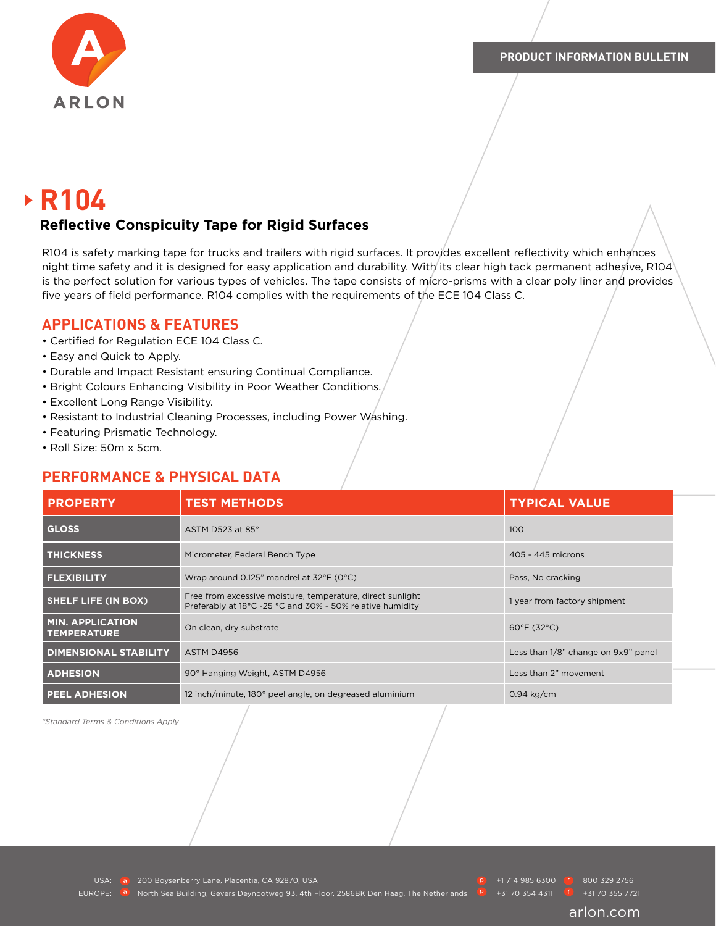

# **R104**

#### **Reflective Conspicuity Tape for Rigid Surfaces**

R104 is safety marking tape for trucks and trailers with rigid surfaces. It provides excellent reflectivity which enhances night time safety and it is designed for easy application and durability. With its clear high tack permanent adhesive, R104 is the perfect solution for various types of vehicles. The tape consists of micro-prisms with a clear poly liner and provides five years of field performance. R104 complies with the requirements of the ECE 104 Class C.

#### **APPLICATIONS & FEATURES**

- Certified for Regulation ECE 104 Class C.
- Easy and Quick to Apply.
- Durable and Impact Resistant ensuring Continual Compliance.
- Bright Colours Enhancing Visibility in Poor Weather Conditions.
- Excellent Long Range Visibility.
- Resistant to Industrial Cleaning Processes, including Power Washing.
- Featuring Prismatic Technology.
- Roll Size: 50m x 5cm.

### **PERFORMANCE & PHYSICAL DATA**

| <b>PROPERTY</b>                               | <b>TEST METHODS</b>                                                                                                     | <b>TYPICAL VALUE</b>                |
|-----------------------------------------------|-------------------------------------------------------------------------------------------------------------------------|-------------------------------------|
| <b>GLOSS</b>                                  | ASTM D523 at 85°                                                                                                        | 100                                 |
| <b>THICKNESS</b>                              | Micrometer, Federal Bench Type                                                                                          | 405 - 445 microns                   |
| <b>FLEXIBILITY</b>                            | Wrap around 0.125" mandrel at 32°F (0°C)                                                                                | Pass, No cracking                   |
| <b>SHELF LIFE (IN BOX)</b>                    | Free from excessive moisture, temperature, direct sunlight<br>Preferably at 18°C -25 °C and 30% - 50% relative humidity | 1 year from factory shipment        |
| <b>MIN. APPLICATION</b><br><b>TEMPERATURE</b> | On clean, dry substrate                                                                                                 | $60^{\circ}F(32^{\circ}C)$          |
| <b>DIMENSIONAL STABILITY</b>                  | ASTM D4956                                                                                                              | Less than 1/8" change on 9x9" panel |
| <b>ADHESION</b>                               | 90° Hanging Weight, ASTM D4956                                                                                          | Less than 2" movement               |
| <b>PEEL ADHESION</b>                          | 12 inch/minute, 180° peel angle, on degreased aluminium                                                                 | $0.94$ kg/cm                        |

*\*Standard Terms & Conditions Apply*

USA: **200 Boysenberry Lane, Placentia, CA 92870, USA** +1 714 985 6300 800 329 2756

EUROPE: <sup>a</sup> North Sea Building, Gevers Deynootweg 93, 4th Floor, 2586BK Den Haag, The Netherlands **P** +31 70 354 4311 <sup>6</sup> +31 70 355 7721

arlon.com